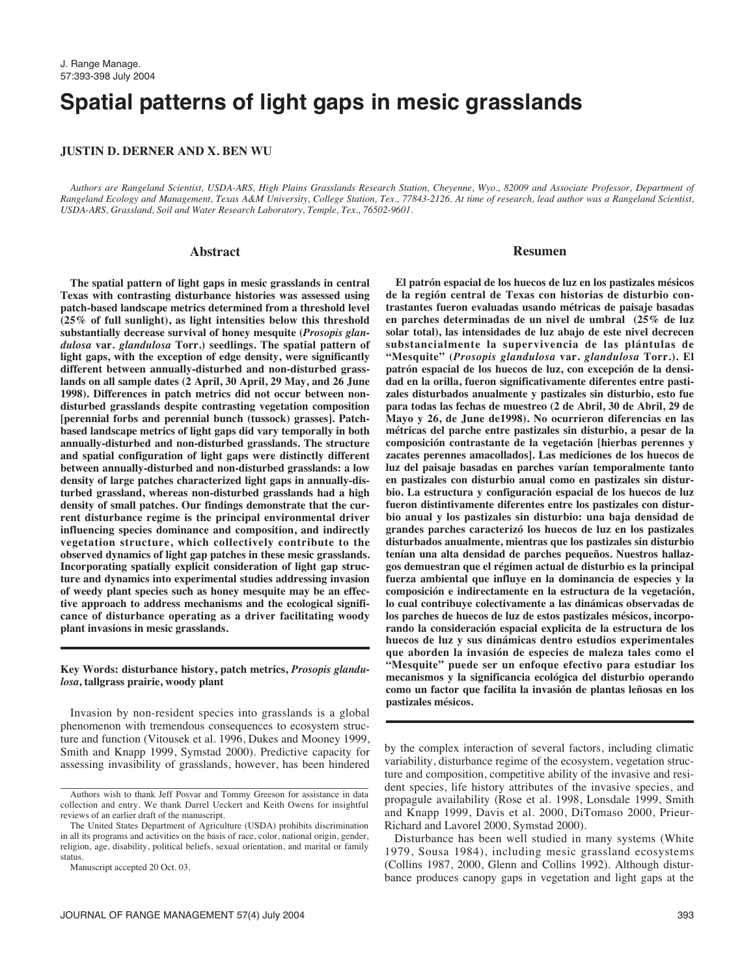# **Spatial patterns of light gaps in mesic grasslands**

**JUSTIN D. DERNER AND X. BEN WU**

*Authors are Rangeland Scientist, USDA-ARS, High Plains Grasslands Research Station, Cheyenne, Wyo., 82009 and Associate Professor, Department of Rangeland Ecology and Management, Texas A&M University, College Station, Tex., 77843-2126. At time of research, lead author was a Rangeland Scientist, USDA-ARS, Grassland, Soil and Water Research Laboratory, Temple, Tex., 76502-9601.*

#### **Abstract**

**The spatial pattern of light gaps in mesic grasslands in central Texas with contrasting disturbance histories was assessed using patch-based landscape metrics determined from a threshold level (25% of full sunlight), as light intensities below this threshold substantially decrease survival of honey mesquite (***Prosopis glandulosa* **var.** *glandulosa* **Torr.) seedlings. The spatial pattern of light gaps, with the exception of edge density, were significantly different between annually-disturbed and non-disturbed grasslands on all sample dates (2 April, 30 April, 29 May, and 26 June 1998). Differences in patch metrics did not occur between nondisturbed grasslands despite contrasting vegetation composition [perennial forbs and perennial bunch (tussock) grasses]. Patchbased landscape metrics of light gaps did vary temporally in both annually-disturbed and non-disturbed grasslands. The structure and spatial configuration of light gaps were distinctly different between annually-disturbed and non-disturbed grasslands: a low density of large patches characterized light gaps in annually-disturbed grassland, whereas non-disturbed grasslands had a high density of small patches. Our findings demonstrate that the current disturbance regime is the principal environmental driver influencing species dominance and composition, and indirectly vegetation structure, which collectively contribute to the observed dynamics of light gap patches in these mesic grasslands. Incorporating spatially explicit consideration of light gap structure and dynamics into experimental studies addressing invasion of weedy plant species such as honey mesquite may be an effective approach to address mechanisms and the ecological significance of disturbance operating as a driver facilitating woody plant invasions in mesic grasslands.**

#### **Key Words: disturbance history, patch metrics,** *Prosopis glandulosa***, tallgrass prairie, woody plant**

Invasion by non-resident species into grasslands is a global phenomenon with tremendous consequences to ecosystem structure and function (Vitousek et al. 1996, Dukes and Mooney 1999, Smith and Knapp 1999, Symstad 2000). Predictive capacity for assessing invasibility of grasslands, however, has been hindered

#### **Resumen**

**El patrón espacial de los huecos de luz en los pastizales mésicos de la región central de Texas con historias de disturbio contrastantes fueron evaluadas usando métricas de paisaje basadas en parches determinadas de un nivel de umbral (25% de luz solar total), las intensidades de luz abajo de este nivel decrecen substancialmente la supervivencia de las plántulas de "Mesquite" (***Prosopis glandulosa* **var.** *glandulosa* **Torr.). El patrón espacial de los huecos de luz, con excepción de la densidad en la orilla, fueron significativamente diferentes entre pastizales disturbados anualmente y pastizales sin disturbio, esto fue para todas las fechas de muestreo (2 de Abril, 30 de Abril, 29 de Mayo y 26, de June de1998). No ocurrieron diferencias en las métricas del parche entre pastizales sin disturbio, a pesar de la composición contrastante de la vegetación [hierbas perennes y zacates perennes amacollados]. Las mediciones de los huecos de luz del paisaje basadas en parches varían temporalmente tanto en pastizales con disturbio anual como en pastizales sin disturbio. La estructura y configuración espacial de los huecos de luz fueron distintivamente diferentes entre los pastizales con disturbio anual y los pastizales sin disturbio: una baja densidad de grandes parches caracterizó los huecos de luz en los pastizales disturbados anualmente, mientras que los pastizales sin disturbio tenían una alta densidad de parches pequeños. Nuestros hallazgos demuestran que el régimen actual de disturbio es la principal fuerza ambiental que influye en la dominancia de especies y la composición e indirectamente en la estructura de la vegetación, lo cual contribuye colectivamente a las dinámicas observadas de los parches de huecos de luz de estos pastizales mésicos, incorporando la consideración espacial explicita de la estructura de los huecos de luz y sus dinámicas dentro estudios experimentales que aborden la invasión de especies de maleza tales como el "Mesquite" puede ser un enfoque efectivo para estudiar los mecanismos y la significancia ecológica del disturbio operando como un factor que facilita la invasión de plantas leñosas en los pastizales mésicos.**

by the complex interaction of several factors, including climatic variability, disturbance regime of the ecosystem, vegetation structure and composition, competitive ability of the invasive and resident species, life history attributes of the invasive species, and propagule availability (Rose et al. 1998, Lonsdale 1999, Smith and Knapp 1999, Davis et al. 2000, DiTomaso 2000, Prieur-Richard and Lavorel 2000, Symstad 2000).

Disturbance has been well studied in many systems (White 1979, Sousa 1984), including mesic grassland ecosystems (Collins 1987, 2000, Glenn and Collins 1992). Although disturbance produces canopy gaps in vegetation and light gaps at the

Authors wish to thank Jeff Posvar and Tommy Greeson for assistance in data collection and entry. We thank Darrel Ueckert and Keith Owens for insightful reviews of an earlier draft of the manuscript.

The United States Department of Agriculture (USDA) prohibits discrimination in all its programs and activities on the basis of race, color, national origin, gender, religion, age, disability, political beliefs, sexual orientation, and marital or family status.

Manuscript accepted 20 Oct. 03.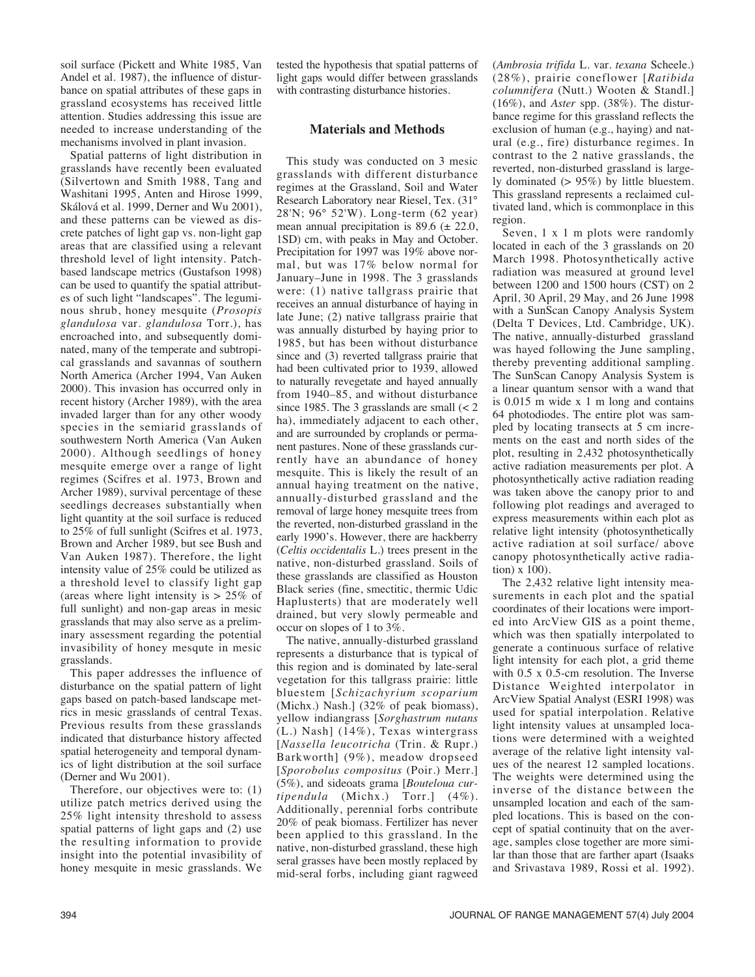soil surface (Pickett and White 1985, Van Andel et al. 1987), the influence of disturbance on spatial attributes of these gaps in grassland ecosystems has received little attention. Studies addressing this issue are needed to increase understanding of the mechanisms involved in plant invasion.

Spatial patterns of light distribution in grasslands have recently been evaluated (Silvertown and Smith 1988, Tang and Washitani 1995, Anten and Hirose 1999, Skálová et al. 1999, Derner and Wu 2001), and these patterns can be viewed as discrete patches of light gap vs. non-light gap areas that are classified using a relevant threshold level of light intensity. Patchbased landscape metrics (Gustafson 1998) can be used to quantify the spatial attributes of such light "landscapes". The leguminous shrub, honey mesquite (*Prosopis glandulosa* var. *glandulosa* Torr.), has encroached into, and subsequently dominated, many of the temperate and subtropical grasslands and savannas of southern North America (Archer 1994, Van Auken 2000). This invasion has occurred only in recent history (Archer 1989), with the area invaded larger than for any other woody species in the semiarid grasslands of southwestern North America (Van Auken 2000). Although seedlings of honey mesquite emerge over a range of light regimes (Scifres et al. 1973, Brown and Archer 1989), survival percentage of these seedlings decreases substantially when light quantity at the soil surface is reduced to 25% of full sunlight (Scifres et al. 1973, Brown and Archer 1989, but see Bush and Van Auken 1987). Therefore, the light intensity value of 25% could be utilized as a threshold level to classify light gap (areas where light intensity is  $> 25\%$  of full sunlight) and non-gap areas in mesic grasslands that may also serve as a preliminary assessment regarding the potential invasibility of honey mesqute in mesic grasslands.

This paper addresses the influence of disturbance on the spatial pattern of light gaps based on patch-based landscape metrics in mesic grasslands of central Texas. Previous results from these grasslands indicated that disturbance history affected spatial heterogeneity and temporal dynamics of light distribution at the soil surface (Derner and Wu 2001).

Therefore, our objectives were to: (1) utilize patch metrics derived using the 25% light intensity threshold to assess spatial patterns of light gaps and (2) use the resulting information to provide insight into the potential invasibility of honey mesquite in mesic grasslands. We

tested the hypothesis that spatial patterns of light gaps would differ between grasslands with contrasting disturbance histories.

## **Materials and Methods**

This study was conducted on 3 mesic grasslands with different disturbance regimes at the Grassland, Soil and Water Research Laboratory near Riesel, Tex. (31° 28'N; 96° 52'W). Long-term (62 year) mean annual precipitation is  $89.6 \pm 22.0$ , 1SD) cm, with peaks in May and October. Precipitation for 1997 was 19% above normal, but was 17% below normal for January–June in 1998. The 3 grasslands were: (1) native tallgrass prairie that receives an annual disturbance of haying in late June; (2) native tallgrass prairie that was annually disturbed by haying prior to 1985, but has been without disturbance since and (3) reverted tallgrass prairie that had been cultivated prior to 1939, allowed to naturally revegetate and hayed annually from 1940–85, and without disturbance since 1985. The 3 grasslands are small  $\left($  < 2 ha), immediately adjacent to each other, and are surrounded by croplands or permanent pastures. None of these grasslands currently have an abundance of honey mesquite. This is likely the result of an annual haying treatment on the native, annually-disturbed grassland and the removal of large honey mesquite trees from the reverted, non-disturbed grassland in the early 1990's. However, there are hackberry (*Celtis occidentalis* L.) trees present in the native, non-disturbed grassland. Soils of these grasslands are classified as Houston Black series (fine, smectitic, thermic Udic Haplusterts) that are moderately well drained, but very slowly permeable and occur on slopes of 1 to 3%.

The native, annually-disturbed grassland represents a disturbance that is typical of this region and is dominated by late-seral vegetation for this tallgrass prairie: little bluestem [*Schizachyrium scoparium* (Michx.) Nash.] (32% of peak biomass), yellow indiangrass [*Sorghastrum nutans* (L.) Nash] (14%), Texas wintergrass [*Nassella leucotricha* (Trin. & Rupr.) Barkworth] (9%), meadow dropseed [*Sporobolus compositus* (Poir.) Merr.] (5%), and sideoats grama [*Bouteloua curtipendula* (Michx.) Torr.] (4%). Additionally, perennial forbs contribute 20% of peak biomass. Fertilizer has never been applied to this grassland. In the native, non-disturbed grassland, these high seral grasses have been mostly replaced by mid-seral forbs, including giant ragweed

(*Ambrosia trifida* L. var. *texana* Scheele.) (28%), prairie coneflower [*Ratibida columnifera* (Nutt.) Wooten & Standl.] (16%), and *Aster* spp. (38%). The disturbance regime for this grassland reflects the exclusion of human (e.g., haying) and natural (e.g., fire) disturbance regimes. In contrast to the 2 native grasslands, the reverted, non-disturbed grassland is largely dominated (> 95%) by little bluestem. This grassland represents a reclaimed cultivated land, which is commonplace in this region.

Seven, 1 x 1 m plots were randomly located in each of the 3 grasslands on 20 March 1998. Photosynthetically active radiation was measured at ground level between 1200 and 1500 hours (CST) on 2 April, 30 April, 29 May, and 26 June 1998 with a SunScan Canopy Analysis System (Delta T Devices, Ltd. Cambridge, UK). The native, annually-disturbed grassland was hayed following the June sampling, thereby preventing additional sampling. The SunScan Canopy Analysis System is a linear quantum sensor with a wand that is 0.015 m wide x 1 m long and contains 64 photodiodes. The entire plot was sampled by locating transects at 5 cm increments on the east and north sides of the plot, resulting in 2,432 photosynthetically active radiation measurements per plot. A photosynthetically active radiation reading was taken above the canopy prior to and following plot readings and averaged to express measurements within each plot as relative light intensity (photosynthetically active radiation at soil surface/ above canopy photosynthetically active radiation) x 100).

The 2,432 relative light intensity measurements in each plot and the spatial coordinates of their locations were imported into ArcView GIS as a point theme, which was then spatially interpolated to generate a continuous surface of relative light intensity for each plot, a grid theme with  $0.5 \times 0.5$ -cm resolution. The Inverse Distance Weighted interpolator in ArcView Spatial Analyst (ESRI 1998) was used for spatial interpolation. Relative light intensity values at unsampled locations were determined with a weighted average of the relative light intensity values of the nearest 12 sampled locations. The weights were determined using the inverse of the distance between the unsampled location and each of the sampled locations. This is based on the concept of spatial continuity that on the average, samples close together are more similar than those that are farther apart (Isaaks and Srivastava 1989, Rossi et al. 1992).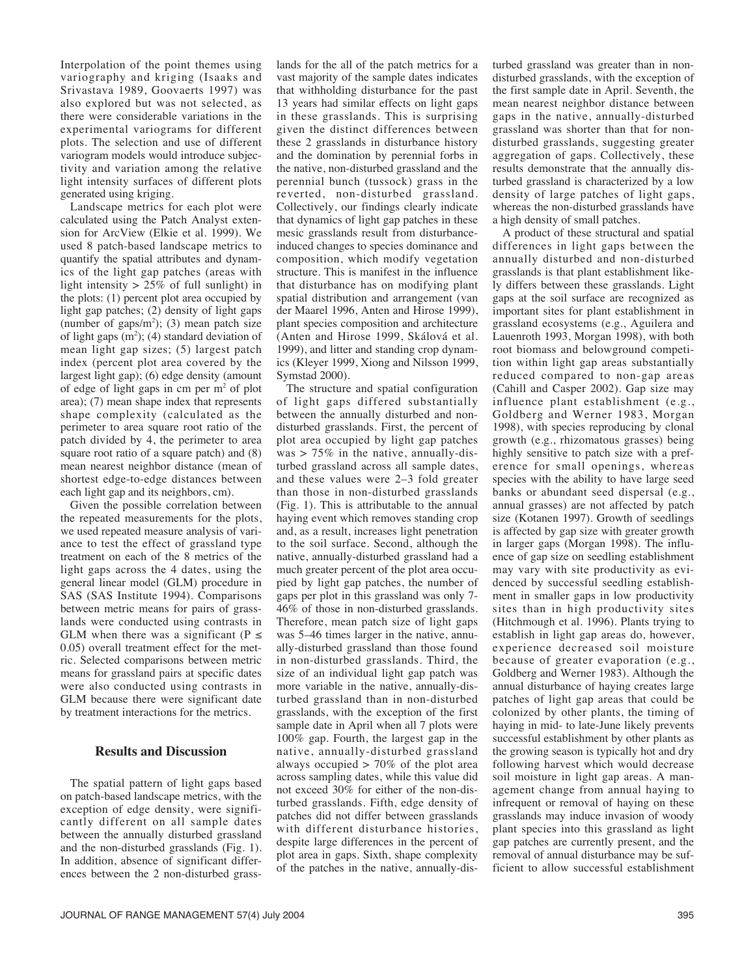Interpolation of the point themes using variography and kriging (Isaaks and Srivastava 1989, Goovaerts 1997) was also explored but was not selected, as there were considerable variations in the experimental variograms for different plots. The selection and use of different variogram models would introduce subjectivity and variation among the relative light intensity surfaces of different plots generated using kriging.

Landscape metrics for each plot were calculated using the Patch Analyst extension for ArcView (Elkie et al. 1999). We used 8 patch-based landscape metrics to quantify the spatial attributes and dynamics of the light gap patches (areas with light intensity  $> 25\%$  of full sunlight) in the plots: (1) percent plot area occupied by light gap patches; (2) density of light gaps (number of gaps/m<sup>2</sup>); (3) mean patch size of light gaps  $(m^2)$ ; (4) standard deviation of mean light gap sizes; (5) largest patch index (percent plot area covered by the largest light gap); (6) edge density (amount of edge of light gaps in cm per  $m<sup>2</sup>$  of plot area); (7) mean shape index that represents shape complexity (calculated as the perimeter to area square root ratio of the patch divided by 4, the perimeter to area square root ratio of a square patch) and (8) mean nearest neighbor distance (mean of shortest edge-to-edge distances between each light gap and its neighbors, cm).

Given the possible correlation between the repeated measurements for the plots, we used repeated measure analysis of variance to test the effect of grassland type treatment on each of the 8 metrics of the light gaps across the 4 dates, using the general linear model (GLM) procedure in SAS (SAS Institute 1994). Comparisons between metric means for pairs of grasslands were conducted using contrasts in GLM when there was a significant ( $P \leq$ 0.05) overall treatment effect for the metric. Selected comparisons between metric means for grassland pairs at specific dates were also conducted using contrasts in GLM because there were significant date by treatment interactions for the metrics.

### **Results and Discussion**

The spatial pattern of light gaps based on patch-based landscape metrics, with the exception of edge density, were significantly different on all sample dates between the annually disturbed grassland and the non-disturbed grasslands (Fig. 1). In addition, absence of significant differences between the 2 non-disturbed grass-

lands for the all of the patch metrics for a vast majority of the sample dates indicates that withholding disturbance for the past 13 years had similar effects on light gaps in these grasslands. This is surprising given the distinct differences between these 2 grasslands in disturbance history and the domination by perennial forbs in the native, non-disturbed grassland and the perennial bunch (tussock) grass in the reverted, non-disturbed grassland. Collectively, our findings clearly indicate that dynamics of light gap patches in these mesic grasslands result from disturbanceinduced changes to species dominance and composition, which modify vegetation structure. This is manifest in the influence that disturbance has on modifying plant spatial distribution and arrangement (van der Maarel 1996, Anten and Hirose 1999), plant species composition and architecture (Anten and Hirose 1999, Skálová et al. 1999), and litter and standing crop dynamics (Kleyer 1999, Xiong and Nilsson 1999, Symstad 2000).

The structure and spatial configuration of light gaps differed substantially between the annually disturbed and nondisturbed grasslands. First, the percent of plot area occupied by light gap patches was  $> 75\%$  in the native, annually-disturbed grassland across all sample dates, and these values were 2–3 fold greater than those in non-disturbed grasslands (Fig. 1). This is attributable to the annual haying event which removes standing crop and, as a result, increases light penetration to the soil surface. Second, although the native, annually-disturbed grassland had a much greater percent of the plot area occupied by light gap patches, the number of gaps per plot in this grassland was only 7- 46% of those in non-disturbed grasslands. Therefore, mean patch size of light gaps was 5–46 times larger in the native, annually-disturbed grassland than those found in non-disturbed grasslands. Third, the size of an individual light gap patch was more variable in the native, annually-disturbed grassland than in non-disturbed grasslands, with the exception of the first sample date in April when all 7 plots were 100% gap. Fourth, the largest gap in the native, annually-disturbed grassland always occupied > 70% of the plot area across sampling dates, while this value did not exceed 30% for either of the non-disturbed grasslands. Fifth, edge density of patches did not differ between grasslands with different disturbance histories, despite large differences in the percent of plot area in gaps. Sixth, shape complexity of the patches in the native, annually-disturbed grassland was greater than in nondisturbed grasslands, with the exception of the first sample date in April. Seventh, the mean nearest neighbor distance between gaps in the native, annually-disturbed grassland was shorter than that for nondisturbed grasslands, suggesting greater aggregation of gaps. Collectively, these results demonstrate that the annually disturbed grassland is characterized by a low density of large patches of light gaps, whereas the non-disturbed grasslands have a high density of small patches.

A product of these structural and spatial differences in light gaps between the annually disturbed and non-disturbed grasslands is that plant establishment likely differs between these grasslands. Light gaps at the soil surface are recognized as important sites for plant establishment in grassland ecosystems (e.g., Aguilera and Lauenroth 1993, Morgan 1998), with both root biomass and belowground competition within light gap areas substantially reduced compared to non-gap areas (Cahill and Casper 2002). Gap size may influence plant establishment (e.g., Goldberg and Werner 1983, Morgan 1998), with species reproducing by clonal growth (e.g., rhizomatous grasses) being highly sensitive to patch size with a preference for small openings, whereas species with the ability to have large seed banks or abundant seed dispersal (e.g., annual grasses) are not affected by patch size (Kotanen 1997). Growth of seedlings is affected by gap size with greater growth in larger gaps (Morgan 1998). The influence of gap size on seedling establishment may vary with site productivity as evidenced by successful seedling establishment in smaller gaps in low productivity sites than in high productivity sites (Hitchmough et al. 1996). Plants trying to establish in light gap areas do, however, experience decreased soil moisture because of greater evaporation (e.g., Goldberg and Werner 1983). Although the annual disturbance of haying creates large patches of light gap areas that could be colonized by other plants, the timing of haying in mid- to late-June likely prevents successful establishment by other plants as the growing season is typically hot and dry following harvest which would decrease soil moisture in light gap areas. A management change from annual haying to infrequent or removal of haying on these grasslands may induce invasion of woody plant species into this grassland as light gap patches are currently present, and the removal of annual disturbance may be sufficient to allow successful establishment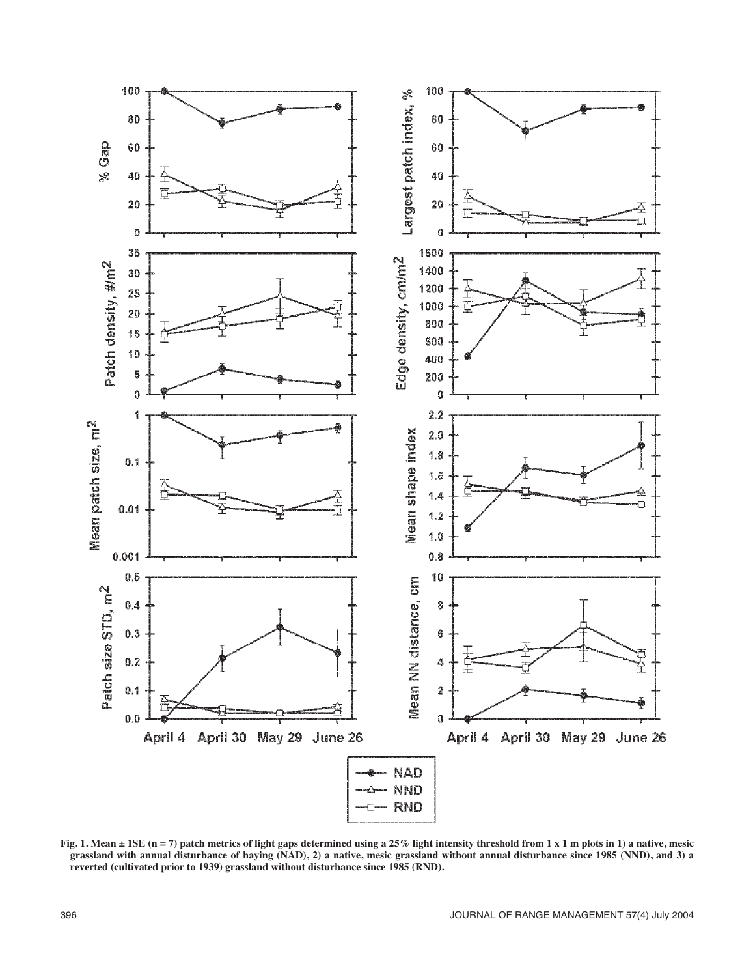

**Fig. 1. Mean ± 1SE (n = 7) patch metrics of light gaps determined using a 25% light intensity threshold from 1 x 1 m plots in 1) a native, mesic grassland with annual disturbance of haying (NAD), 2) a native, mesic grassland without annual disturbance since 1985 (NND), and 3) a reverted (cultivated prior to 1939) grassland without disturbance since 1985 (RND).**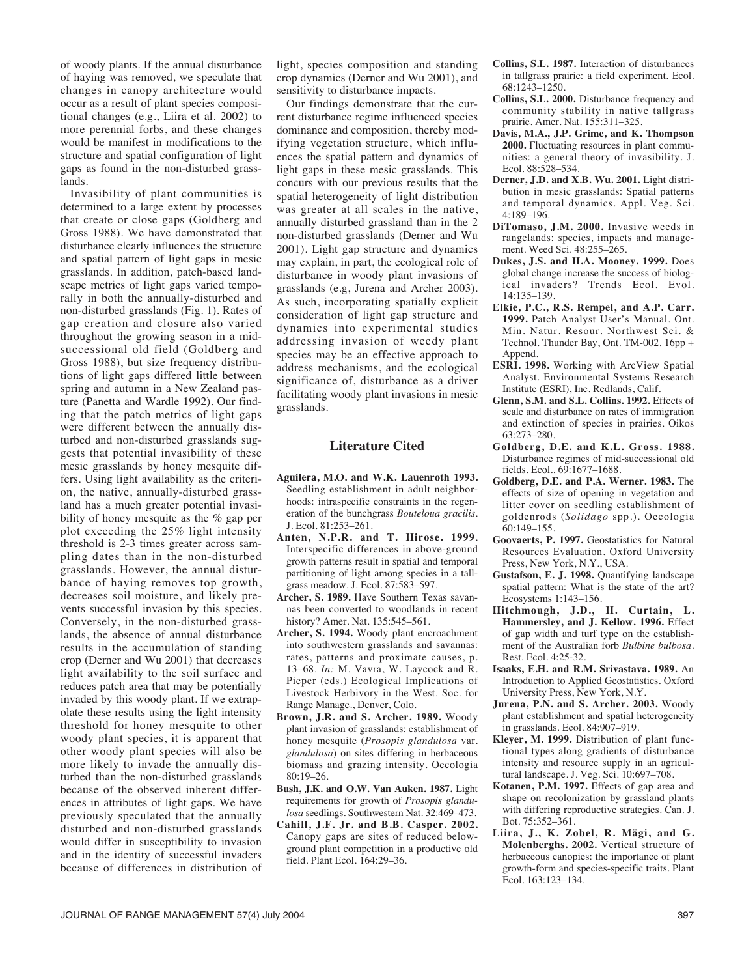of woody plants. If the annual disturbance of haying was removed, we speculate that changes in canopy architecture would occur as a result of plant species compositional changes (e.g., Liira et al. 2002) to more perennial forbs, and these changes would be manifest in modifications to the structure and spatial configuration of light gaps as found in the non-disturbed grasslands.

Invasibility of plant communities is determined to a large extent by processes that create or close gaps (Goldberg and Gross 1988). We have demonstrated that disturbance clearly influences the structure and spatial pattern of light gaps in mesic grasslands. In addition, patch-based landscape metrics of light gaps varied temporally in both the annually-disturbed and non-disturbed grasslands (Fig. 1). Rates of gap creation and closure also varied throughout the growing season in a midsuccessional old field (Goldberg and Gross 1988), but size frequency distributions of light gaps differed little between spring and autumn in a New Zealand pasture (Panetta and Wardle 1992). Our finding that the patch metrics of light gaps were different between the annually disturbed and non-disturbed grasslands suggests that potential invasibility of these mesic grasslands by honey mesquite differs. Using light availability as the criterion, the native, annually-disturbed grassland has a much greater potential invasibility of honey mesquite as the  $\%$  gap per plot exceeding the 25% light intensity threshold is 2-3 times greater across sampling dates than in the non-disturbed grasslands. However, the annual disturbance of haying removes top growth, decreases soil moisture, and likely prevents successful invasion by this species. Conversely, in the non-disturbed grasslands, the absence of annual disturbance results in the accumulation of standing crop (Derner and Wu 2001) that decreases light availability to the soil surface and reduces patch area that may be potentially invaded by this woody plant. If we extrapolate these results using the light intensity threshold for honey mesquite to other woody plant species, it is apparent that other woody plant species will also be more likely to invade the annually disturbed than the non-disturbed grasslands because of the observed inherent differences in attributes of light gaps. We have previously speculated that the annually disturbed and non-disturbed grasslands would differ in susceptibility to invasion and in the identity of successful invaders because of differences in distribution of

light, species composition and standing crop dynamics (Derner and Wu 2001), and sensitivity to disturbance impacts.

Our findings demonstrate that the current disturbance regime influenced species dominance and composition, thereby modifying vegetation structure, which influences the spatial pattern and dynamics of light gaps in these mesic grasslands. This concurs with our previous results that the spatial heterogeneity of light distribution was greater at all scales in the native, annually disturbed grassland than in the 2 non-disturbed grasslands (Derner and Wu 2001). Light gap structure and dynamics may explain, in part, the ecological role of disturbance in woody plant invasions of grasslands (e.g, Jurena and Archer 2003). As such, incorporating spatially explicit consideration of light gap structure and dynamics into experimental studies addressing invasion of weedy plant species may be an effective approach to address mechanisms, and the ecological significance of, disturbance as a driver facilitating woody plant invasions in mesic grasslands.

## **Literature Cited**

- **Aguilera, M.O. and W.K. Lauenroth 1993.** Seedling establishment in adult neighborhoods: intraspecific constraints in the regeneration of the bunchgrass *Bouteloua gracilis.* J. Ecol. 81:253–261.
- **Anten, N.P.R. and T. Hirose. 1999**. Interspecific differences in above-ground growth patterns result in spatial and temporal partitioning of light among species in a tallgrass meadow. J. Ecol. 87:583–597.
- **Archer, S. 1989.** Have Southern Texas savannas been converted to woodlands in recent history? Amer. Nat. 135:545–561.
- **Archer, S. 1994.** Woody plant encroachment into southwestern grasslands and savannas: rates, patterns and proximate causes, p. 13–68. *In:* M. Vavra, W. Laycock and R. Pieper (eds.) Ecological Implications of Livestock Herbivory in the West. Soc. for Range Manage., Denver, Colo.
- **Brown, J.R. and S. Archer. 1989.** Woody plant invasion of grasslands: establishment of honey mesquite (*Prosopis glandulosa* var. *glandulosa*) on sites differing in herbaceous biomass and grazing intensity. Oecologia  $80.19 - 26$
- **Bush, J.K. and O.W. Van Auken. 1987.** Light requirements for growth of *Prosopis glandulosa* seedlings. Southwestern Nat. 32:469–473.
- **Cahill, J.F. Jr. and B.B. Casper. 2002.** Canopy gaps are sites of reduced belowground plant competition in a productive old field. Plant Ecol. 164:29–36.
- **Collins, S.L. 1987.** Interaction of disturbances in tallgrass prairie: a field experiment. Ecol. 68:1243–1250.
- **Collins, S.L. 2000.** Disturbance frequency and community stability in native tallgrass prairie. Amer. Nat. 155:311–325.
- **Davis, M.A., J.P. Grime, and K. Thompson 2000.** Fluctuating resources in plant communities: a general theory of invasibility. J. Ecol. 88:528–534.
- **Derner, J.D. and X.B. Wu. 2001.** Light distribution in mesic grasslands: Spatial patterns and temporal dynamics. Appl. Veg. Sci. 4:189–196.
- **DiTomaso, J.M. 2000.** Invasive weeds in rangelands: species, impacts and management. Weed Sci. 48:255–265.
- **Dukes, J.S. and H.A. Mooney. 1999.** Does global change increase the success of biological invaders? Trends Ecol. Evol. 14:135–139.
- **Elkie, P.C., R.S. Rempel, and A.P. Carr. 1999.** Patch Analyst User's Manual. Ont. Min. Natur. Resour. Northwest Sci. & Technol. Thunder Bay, Ont. TM-002. 16pp + Append.
- **ESRI. 1998.** Working with ArcView Spatial Analyst. Environmental Systems Research Institute (ESRI), Inc. Redlands, Calif.
- **Glenn, S.M. and S.L. Collins. 1992.** Effects of scale and disturbance on rates of immigration and extinction of species in prairies. Oikos 63:273–280.
- **Goldberg, D.E. and K.L. Gross. 1988.** Disturbance regimes of mid-successional old fields. Ecol.. 69:1677–1688.
- **Goldberg, D.E. and P.A. Werner. 1983.** The effects of size of opening in vegetation and litter cover on seedling establishment of goldenrods (*Solidago* spp.). Oecologia  $60:149 - 155$ .
- **Goovaerts, P. 1997.** Geostatistics for Natural Resources Evaluation. Oxford University Press, New York, N.Y., USA.
- **Gustafson, E. J. 1998.** Quantifying landscape spatial pattern: What is the state of the art? Ecosystems 1:143–156.
- **Hitchmough, J.D., H. Curtain, L. Hammersley, and J. Kellow. 1996.** Effect of gap width and turf type on the establishment of the Australian forb *Bulbine bulbosa*. Rest. Ecol. 4:25-32.
- **Isaaks, E.H. and R.M. Srivastava. 1989.** An Introduction to Applied Geostatistics. Oxford University Press, New York, N.Y.
- **Jurena, P.N. and S. Archer. 2003.** Woody plant establishment and spatial heterogeneity in grasslands. Ecol. 84:907–919.
- **Kleyer, M. 1999.** Distribution of plant functional types along gradients of disturbance intensity and resource supply in an agricultural landscape. J. Veg. Sci. 10:697–708.
- **Kotanen, P.M. 1997.** Effects of gap area and shape on recolonization by grassland plants with differing reproductive strategies. Can. J. Bot. 75:352–361.
- **Liira, J., K. Zobel, R. Mägi, and G. Molenberghs. 2002.** Vertical structure of herbaceous canopies: the importance of plant growth-form and species-specific traits. Plant Ecol. 163:123–134.